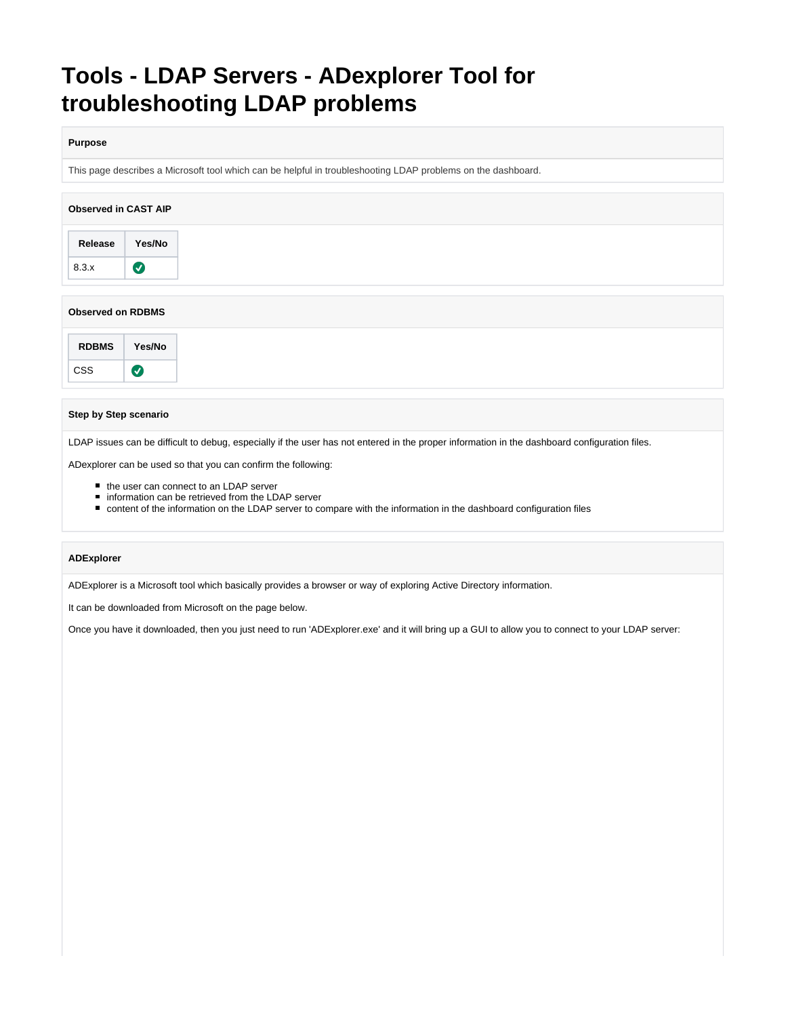# **Tools - LDAP Servers - ADexplorer Tool for troubleshooting LDAP problems**

#### **Purpose**

This page describes a Microsoft tool which can be helpful in troubleshooting LDAP problems on the dashboard.

| <b>Observed in CAST AIP</b> |           |  |
|-----------------------------|-----------|--|
| Release                     | Yes/No    |  |
| 8.3.x                       | $\bullet$ |  |
| <b>Observed on RDBMS</b>    |           |  |
| <b>RDBMS</b>                | Yes/No    |  |

#### **Step by Step scenario**

 $\bullet$ 

CSS

LDAP issues can be difficult to debug, especially if the user has not entered in the proper information in the dashboard configuration files.

ADexplorer can be used so that you can confirm the following:

- the user can connect to an LDAP server
- information can be retrieved from the LDAP server
- content of the information on the LDAP server to compare with the information in the dashboard configuration files

### **ADExplorer**

ADExplorer is a Microsoft tool which basically provides a browser or way of exploring Active Directory information.

It can be downloaded from Microsoft on the page below.

Once you have it downloaded, then you just need to run 'ADExplorer.exe' and it will bring up a GUI to allow you to connect to your LDAP server: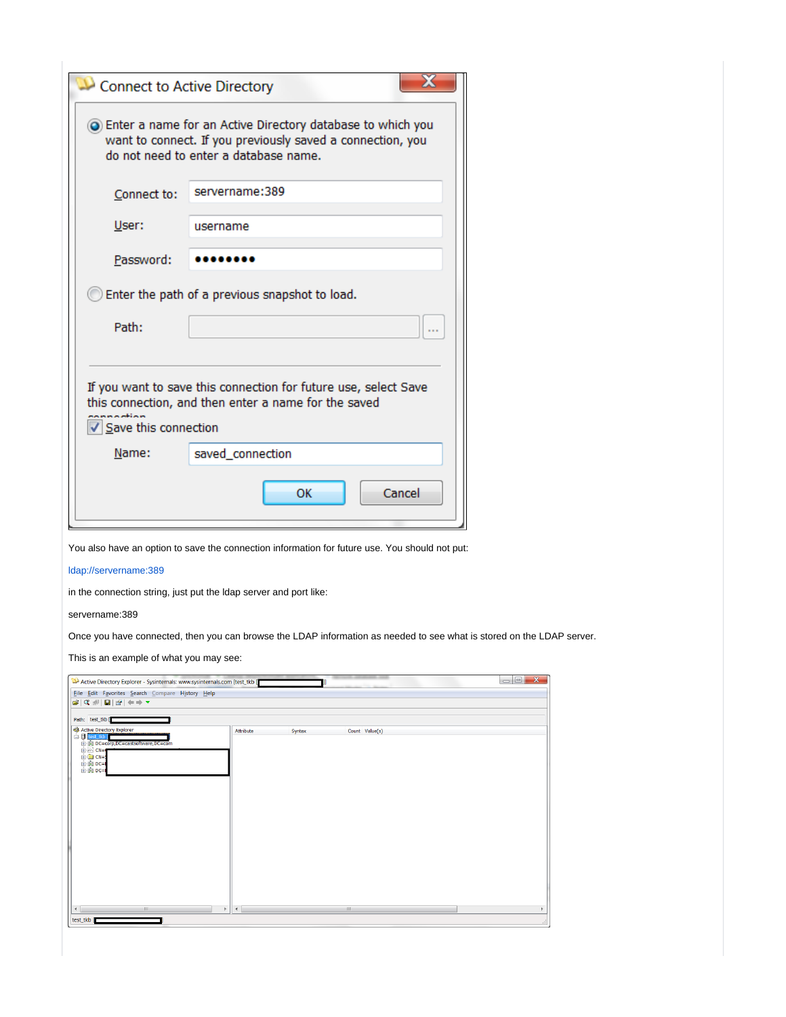| Connect to Active Directory                                                                                                                     |                                                                                                                                                                    |  |  |  |  |  |  |  |  |
|-------------------------------------------------------------------------------------------------------------------------------------------------|--------------------------------------------------------------------------------------------------------------------------------------------------------------------|--|--|--|--|--|--|--|--|
|                                                                                                                                                 | ightharpoonup for an Active Directory database to which you<br>want to connect. If you previously saved a connection, you<br>do not need to enter a database name. |  |  |  |  |  |  |  |  |
| Connect to:                                                                                                                                     | servername:389                                                                                                                                                     |  |  |  |  |  |  |  |  |
| User:                                                                                                                                           | username                                                                                                                                                           |  |  |  |  |  |  |  |  |
| Password:                                                                                                                                       |                                                                                                                                                                    |  |  |  |  |  |  |  |  |
| Enter the path of a previous snapshot to load.                                                                                                  |                                                                                                                                                                    |  |  |  |  |  |  |  |  |
| Path:                                                                                                                                           |                                                                                                                                                                    |  |  |  |  |  |  |  |  |
| If you want to save this connection for future use, select Save<br>this connection, and then enter a name for the saved<br>Save this connection |                                                                                                                                                                    |  |  |  |  |  |  |  |  |
| Name:<br>saved_connection                                                                                                                       |                                                                                                                                                                    |  |  |  |  |  |  |  |  |
|                                                                                                                                                 | Cancel<br>ок                                                                                                                                                       |  |  |  |  |  |  |  |  |

You also have an option to save the connection information for future use. You should not put:

[ldap://servername:389](ldap://lex2:389)

in the connection string, just put the ldap server and port like:

servername:389

Once you have connected, then you can browse the LDAP information as needed to see what is stored on the LDAP server.

This is an example of what you may see:

| Eile Edit Favorites Search Compare History Help                                                                                                                                                                                                                                      |                               |        |                               |  |
|--------------------------------------------------------------------------------------------------------------------------------------------------------------------------------------------------------------------------------------------------------------------------------------|-------------------------------|--------|-------------------------------|--|
| $\mathbf{z} = +   \mathbf{e}   \mathbf{e}   \mathbf{e}   \mathbf{e}   \mathbf{e}  $                                                                                                                                                                                                  |                               |        |                               |  |
|                                                                                                                                                                                                                                                                                      |                               |        |                               |  |
| Path: test_tkb [                                                                                                                                                                                                                                                                     |                               |        |                               |  |
| Active Directory Explorer<br>E test_tkb                                                                                                                                                                                                                                              | Attribute                     | Syntax | Count Value(s)                |  |
| DC=corp,DC=castsoftware,DC=com                                                                                                                                                                                                                                                       |                               |        |                               |  |
| $\begin{array}{cccc}\n\hline\n\vdots \\ \hline\n\vdots \\ \hline\n\vdots \\ \hline\n\vdots \\ \hline\n\vdots \\ \hline\n\vdots \\ \hline\n\vdots \\ \hline\n\vdots \\ \hline\n\vdots \\ \hline\n\vdots \\ \hline\n\vdots \\ \hline\n\vdots \\ \hline\n\vdots \\ \hline\n\end{array}$ |                               |        |                               |  |
|                                                                                                                                                                                                                                                                                      |                               |        |                               |  |
|                                                                                                                                                                                                                                                                                      |                               |        |                               |  |
|                                                                                                                                                                                                                                                                                      |                               |        |                               |  |
|                                                                                                                                                                                                                                                                                      |                               |        |                               |  |
|                                                                                                                                                                                                                                                                                      |                               |        |                               |  |
|                                                                                                                                                                                                                                                                                      |                               |        |                               |  |
|                                                                                                                                                                                                                                                                                      |                               |        |                               |  |
|                                                                                                                                                                                                                                                                                      |                               |        |                               |  |
|                                                                                                                                                                                                                                                                                      |                               |        |                               |  |
|                                                                                                                                                                                                                                                                                      |                               |        |                               |  |
|                                                                                                                                                                                                                                                                                      |                               |        |                               |  |
|                                                                                                                                                                                                                                                                                      |                               |        |                               |  |
|                                                                                                                                                                                                                                                                                      |                               |        |                               |  |
|                                                                                                                                                                                                                                                                                      |                               |        |                               |  |
|                                                                                                                                                                                                                                                                                      |                               |        |                               |  |
| $\left\vert \cdot \right\vert$                                                                                                                                                                                                                                                       | $\mathbb{F}$<br>$\rightarrow$ |        | $\left\Vert \cdot\right\Vert$ |  |